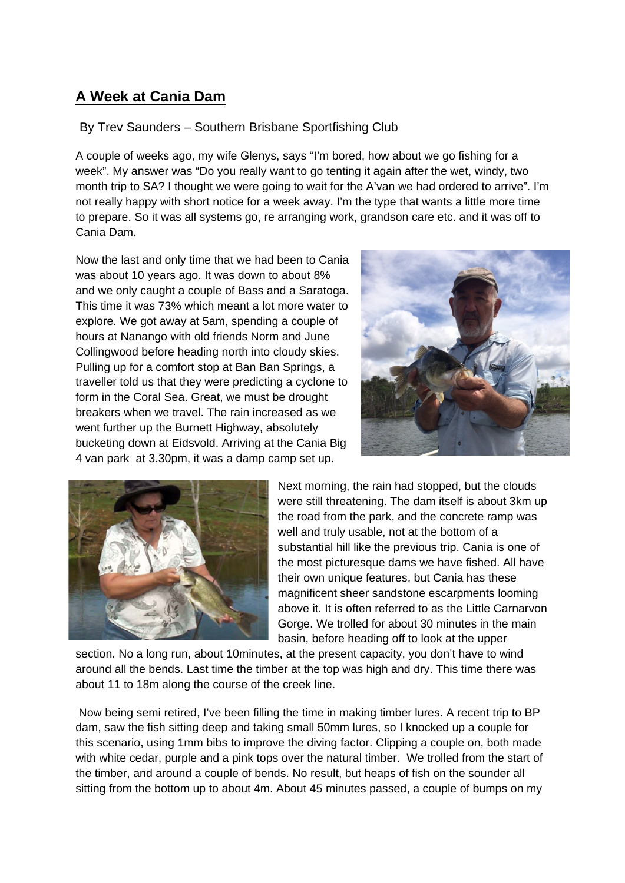## **A Week at Cania Dam**

## By Trev Saunders – Southern Brisbane Sportfishing Club

A couple of weeks ago, my wife Glenys, says "I'm bored, how about we go fishing for a week". My answer was "Do you really want to go tenting it again after the wet, windy, two month trip to SA? I thought we were going to wait for the A'van we had ordered to arrive". I'm not really happy with short notice for a week away. I'm the type that wants a little more time to prepare. So it was all systems go, re arranging work, grandson care etc. and it was off to Cania Dam.

Now the last and only time that we had been to Cania was about 10 years ago. It was down to about 8% and we only caught a couple of Bass and a Saratoga. This time it was 73% which meant a lot more water to explore. We got away at 5am, spending a couple of hours at Nanango with old friends Norm and June Collingwood before heading north into cloudy skies. Pulling up for a comfort stop at Ban Ban Springs, a traveller told us that they were predicting a cyclone to form in the Coral Sea. Great, we must be drought breakers when we travel. The rain increased as we went further up the Burnett Highway, absolutely bucketing down at Eidsvold. Arriving at the Cania Big 4 van park at 3.30pm, it was a damp camp set up.





Next morning, the rain had stopped, but the clouds were still threatening. The dam itself is about 3km up the road from the park, and the concrete ramp was well and truly usable, not at the bottom of a substantial hill like the previous trip. Cania is one of the most picturesque dams we have fished. All have their own unique features, but Cania has these magnificent sheer sandstone escarpments looming above it. It is often referred to as the Little Carnarvon Gorge. We trolled for about 30 minutes in the main basin, before heading off to look at the upper

section. No a long run, about 10minutes, at the present capacity, you don't have to wind around all the bends. Last time the timber at the top was high and dry. This time there was about 11 to 18m along the course of the creek line.

Now being semi retired, I've been filling the time in making timber lures. A recent trip to BP dam, saw the fish sitting deep and taking small 50mm lures, so I knocked up a couple for this scenario, using 1mm bibs to improve the diving factor. Clipping a couple on, both made with white cedar, purple and a pink tops over the natural timber. We trolled from the start of the timber, and around a couple of bends. No result, but heaps of fish on the sounder all sitting from the bottom up to about 4m. About 45 minutes passed, a couple of bumps on my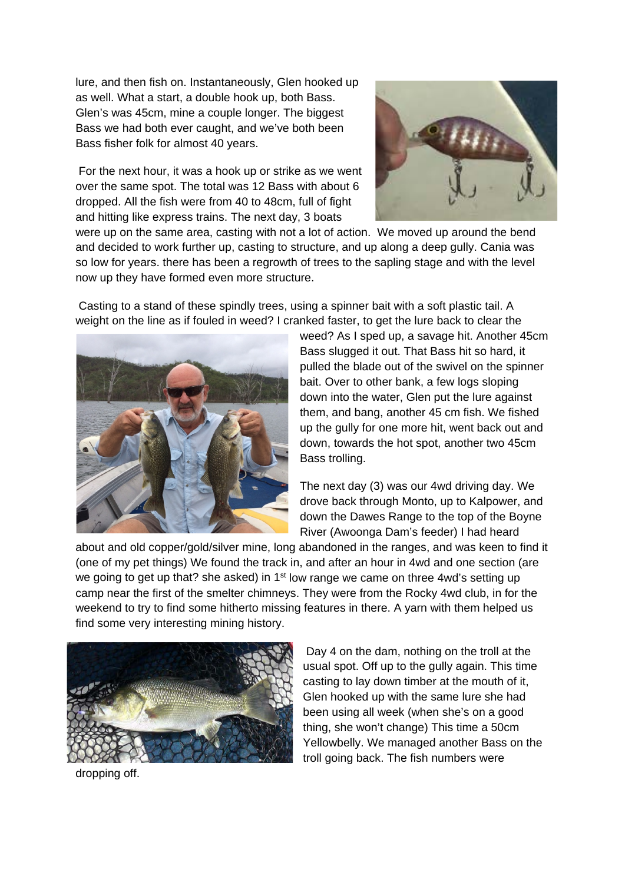lure, and then fish on. Instantaneously, Glen hooked up as well. What a start, a double hook up, both Bass. Glen's was 45cm, mine a couple longer. The biggest Bass we had both ever caught, and we've both been Bass fisher folk for almost 40 years.

For the next hour, it was a hook up or strike as we went over the same spot. The total was 12 Bass with about 6 dropped. All the fish were from 40 to 48cm, full of fight and hitting like express trains. The next day, 3 boats



were up on the same area, casting with not a lot of action. We moved up around the bend and decided to work further up, casting to structure, and up along a deep gully. Cania was so low for years. there has been a regrowth of trees to the sapling stage and with the level now up they have formed even more structure.

Casting to a stand of these spindly trees, using a spinner bait with a soft plastic tail. A weight on the line as if fouled in weed? I cranked faster, to get the lure back to clear the



weed? As I sped up, a savage hit. Another 45cm Bass slugged it out. That Bass hit so hard, it pulled the blade out of the swivel on the spinner bait. Over to other bank, a few logs sloping down into the water, Glen put the lure against them, and bang, another 45 cm fish. We fished up the gully for one more hit, went back out and down, towards the hot spot, another two 45cm Bass trolling.

The next day (3) was our 4wd driving day. We drove back through Monto, up to Kalpower, and down the Dawes Range to the top of the Boyne River (Awoonga Dam's feeder) I had heard

about and old copper/gold/silver mine, long abandoned in the ranges, and was keen to find it (one of my pet things) We found the track in, and after an hour in 4wd and one section (are we going to get up that? she asked) in 1<sup>st</sup> low range we came on three 4wd's setting up camp near the first of the smelter chimneys. They were from the Rocky 4wd club, in for the weekend to try to find some hitherto missing features in there. A yarn with them helped us find some very interesting mining history.



Day 4 on the dam, nothing on the troll at the usual spot. Off up to the gully again. This time casting to lay down timber at the mouth of it, Glen hooked up with the same lure she had been using all week (when she's on a good thing, she won't change) This time a 50cm Yellowbelly. We managed another Bass on the troll going back. The fish numbers were

dropping off.